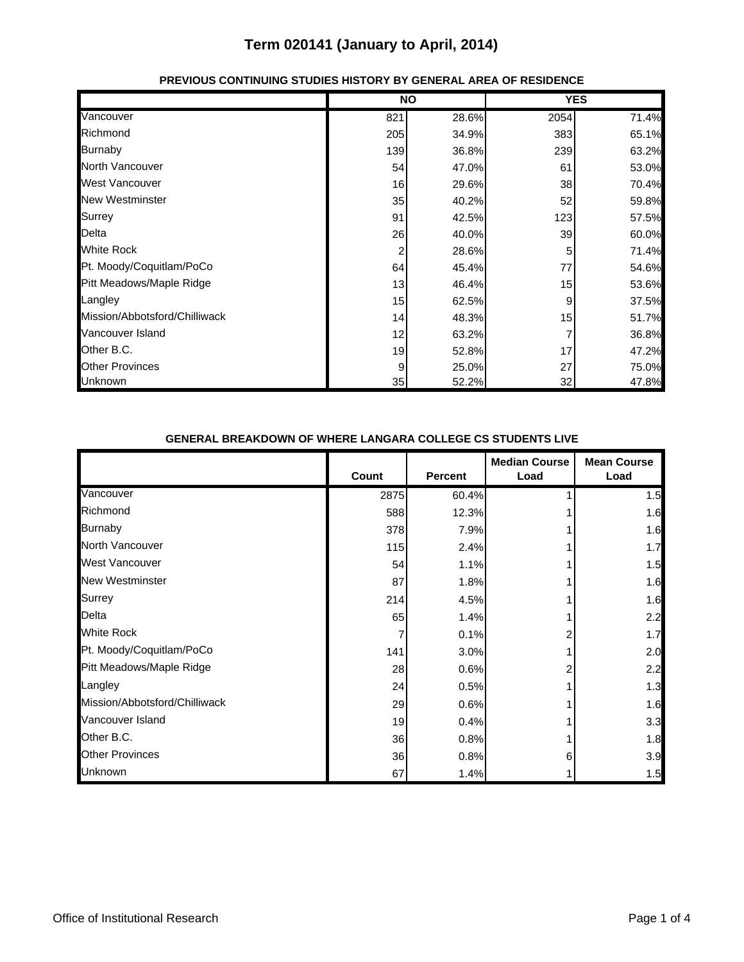|                               |     | <b>NO</b> |      | <b>YES</b> |
|-------------------------------|-----|-----------|------|------------|
| Vancouver                     | 821 | 28.6%     | 2054 | 71.4%      |
| Richmond                      | 205 | 34.9%     | 383  | 65.1%      |
| <b>Burnaby</b>                | 139 | 36.8%     | 239  | 63.2%      |
| North Vancouver               | 54  | 47.0%     | 61   | 53.0%      |
| <b>West Vancouver</b>         | 16  | 29.6%     | 38   | 70.4%      |
| <b>New Westminster</b>        | 35  | 40.2%     | 52   | 59.8%      |
| <b>Surrey</b>                 | 91  | 42.5%     | 123  | 57.5%      |
| Delta                         | 26  | 40.0%     | 39   | 60.0%      |
| <b>White Rock</b>             | 2   | 28.6%     | 5    | 71.4%      |
| Pt. Moody/Coquitlam/PoCo      | 64  | 45.4%     | 77   | 54.6%      |
| Pitt Meadows/Maple Ridge      | 13  | 46.4%     | 15   | 53.6%      |
| Langley                       | 15  | 62.5%     | 9    | 37.5%      |
| Mission/Abbotsford/Chilliwack | 14  | 48.3%     | 15   | 51.7%      |
| Vancouver Island              | 12  | 63.2%     |      | 36.8%      |
| Other B.C.                    | 19  | 52.8%     | 17   | 47.2%      |
| <b>Other Provinces</b>        | 9   | 25.0%     | 27   | 75.0%      |
| Unknown                       | 35  | 52.2%     | 32   | 47.8%      |

#### **PREVIOUS CONTINUING STUDIES HISTORY BY GENERAL AREA OF RESIDENCE**

#### **GENERAL BREAKDOWN OF WHERE LANGARA COLLEGE CS STUDENTS LIVE**

|                               |       |                | <b>Median Course</b> | <b>Mean Course</b> |
|-------------------------------|-------|----------------|----------------------|--------------------|
|                               | Count | <b>Percent</b> | Load                 | Load               |
| Vancouver                     | 2875  | 60.4%          |                      | 1.5                |
| Richmond                      | 588   | 12.3%          |                      | 1.6                |
| <b>Burnaby</b>                | 378   | 7.9%           |                      | 1.6                |
| North Vancouver               | 115   | 2.4%           |                      | 1.7                |
| <b>West Vancouver</b>         | 54    | 1.1%           |                      | 1.5                |
| <b>New Westminster</b>        | 87    | 1.8%           |                      | 1.6                |
| Surrey                        | 214   | 4.5%           |                      | 1.6                |
| Delta                         | 65    | 1.4%           |                      | 2.2                |
| <b>White Rock</b>             |       | 0.1%           |                      | 1.7                |
| Pt. Moody/Coquitlam/PoCo      | 141   | 3.0%           |                      | 2.0                |
| Pitt Meadows/Maple Ridge      | 28    | 0.6%           |                      | 2.2                |
| Langley                       | 24    | 0.5%           |                      | 1.3                |
| Mission/Abbotsford/Chilliwack | 29    | 0.6%           |                      | 1.6                |
| Vancouver Island              | 19    | 0.4%           |                      | 3.3                |
| Other B.C.                    | 36    | 0.8%           |                      | 1.8                |
| <b>Other Provinces</b>        | 36    | 0.8%           | 6                    | 3.9                |
| Unknown                       | 67    | 1.4%           |                      | 1.5                |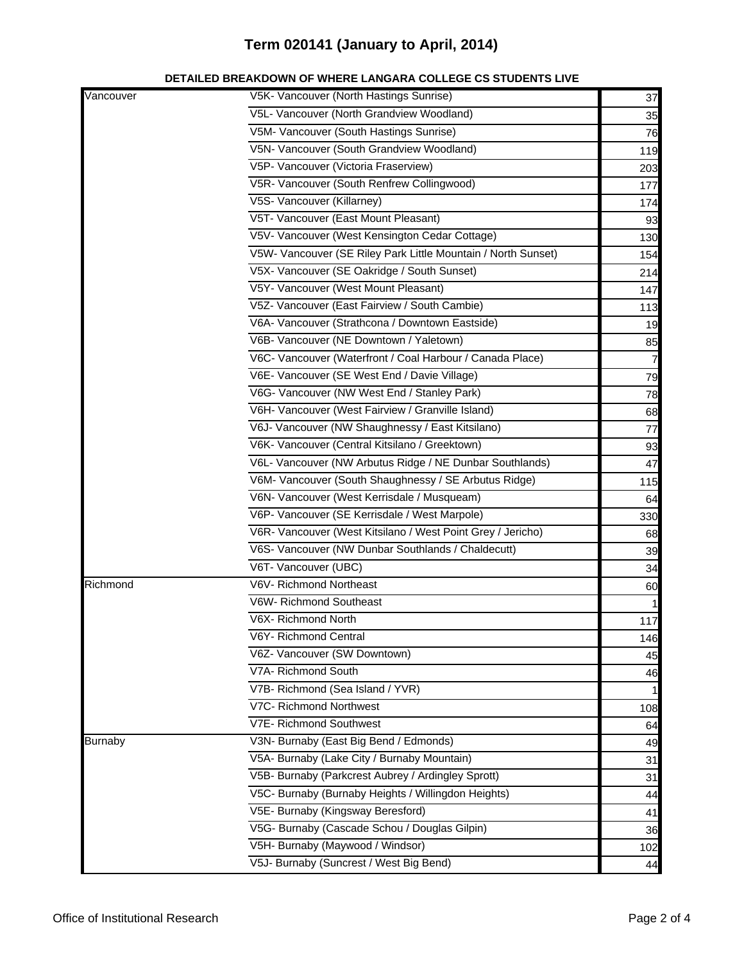#### **DETAILED BREAKDOWN OF WHERE LANGARA COLLEGE CS STUDENTS LIVE**

| Vancouver      | V5K- Vancouver (North Hastings Sunrise)                       | 37             |
|----------------|---------------------------------------------------------------|----------------|
|                | V5L- Vancouver (North Grandview Woodland)                     | 35             |
|                | V5M- Vancouver (South Hastings Sunrise)                       | 76             |
|                | V5N- Vancouver (South Grandview Woodland)                     | 119            |
|                | V5P- Vancouver (Victoria Fraserview)                          | 203            |
|                | V5R- Vancouver (South Renfrew Collingwood)                    | 177            |
|                | V5S- Vancouver (Killarney)                                    | 174            |
|                | V5T- Vancouver (East Mount Pleasant)                          | 93             |
|                | V5V- Vancouver (West Kensington Cedar Cottage)                | 130            |
|                | V5W- Vancouver (SE Riley Park Little Mountain / North Sunset) | 154            |
|                | V5X- Vancouver (SE Oakridge / South Sunset)                   | 214            |
|                | V5Y- Vancouver (West Mount Pleasant)                          | 147            |
|                | V5Z- Vancouver (East Fairview / South Cambie)                 | 113            |
|                | V6A- Vancouver (Strathcona / Downtown Eastside)               | 19             |
|                | V6B- Vancouver (NE Downtown / Yaletown)                       | 85             |
|                | V6C- Vancouver (Waterfront / Coal Harbour / Canada Place)     | $\overline{7}$ |
|                | V6E- Vancouver (SE West End / Davie Village)                  | 79             |
|                | V6G- Vancouver (NW West End / Stanley Park)                   | 78             |
|                | V6H- Vancouver (West Fairview / Granville Island)             | 68             |
|                | V6J- Vancouver (NW Shaughnessy / East Kitsilano)              | 77             |
|                | V6K- Vancouver (Central Kitsilano / Greektown)                | 93             |
|                | V6L- Vancouver (NW Arbutus Ridge / NE Dunbar Southlands)      | 47             |
|                | V6M- Vancouver (South Shaughnessy / SE Arbutus Ridge)         | 115            |
|                | V6N- Vancouver (West Kerrisdale / Musqueam)                   | 64             |
|                | V6P- Vancouver (SE Kerrisdale / West Marpole)                 | 330            |
|                | V6R- Vancouver (West Kitsilano / West Point Grey / Jericho)   | 68             |
|                | V6S- Vancouver (NW Dunbar Southlands / Chaldecutt)            | 39             |
|                | V6T- Vancouver (UBC)                                          | 34             |
| Richmond       | V6V- Richmond Northeast                                       | 60             |
|                | V6W- Richmond Southeast                                       |                |
|                | V6X- Richmond North                                           | 117            |
|                | V6Y- Richmond Central                                         | 146            |
|                | V6Z- Vancouver (SW Downtown)                                  | 45             |
|                | V7A- Richmond South                                           | 46             |
|                | V7B- Richmond (Sea Island / YVR)                              |                |
|                | V7C- Richmond Northwest                                       | 108            |
|                | V7E- Richmond Southwest                                       | 64             |
| <b>Burnaby</b> | V3N- Burnaby (East Big Bend / Edmonds)                        | 49             |
|                | V5A- Burnaby (Lake City / Burnaby Mountain)                   | 31             |
|                | V5B- Burnaby (Parkcrest Aubrey / Ardingley Sprott)            | 31             |
|                | V5C- Burnaby (Burnaby Heights / Willingdon Heights)           | 44             |
|                | V5E- Burnaby (Kingsway Beresford)                             | 41             |
|                | V5G- Burnaby (Cascade Schou / Douglas Gilpin)                 | 36             |
|                | V5H- Burnaby (Maywood / Windsor)                              | 102            |
|                | V5J- Burnaby (Suncrest / West Big Bend)                       | 44             |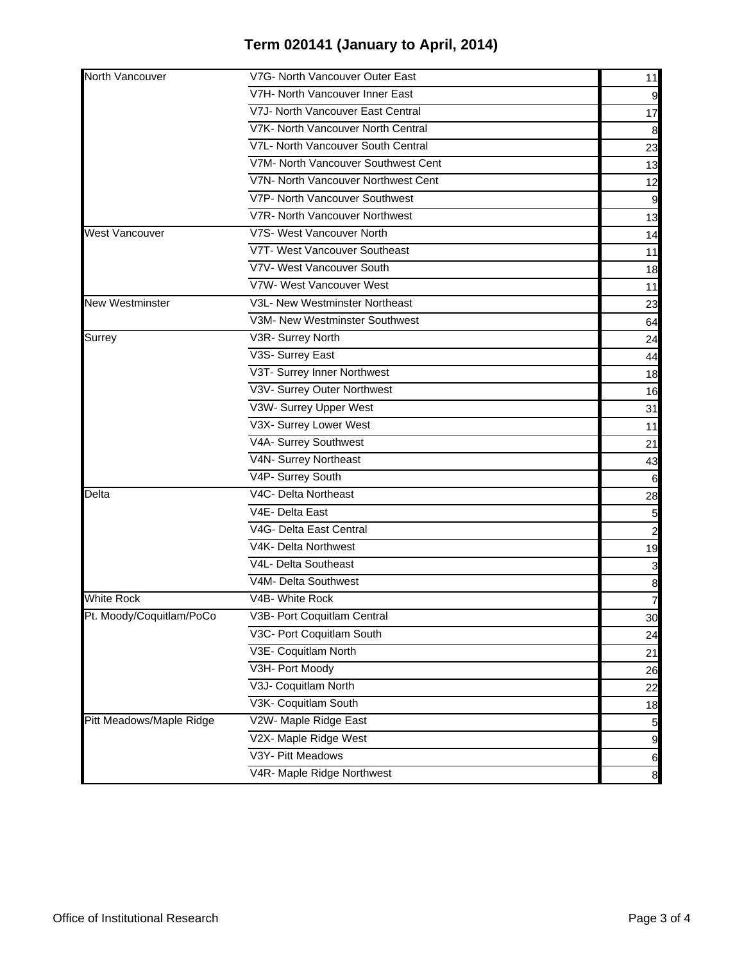| North Vancouver          | V7G- North Vancouver Outer East     | 11                      |
|--------------------------|-------------------------------------|-------------------------|
|                          | V7H- North Vancouver Inner East     | 9                       |
|                          | V7J- North Vancouver East Central   | 17                      |
|                          | V7K- North Vancouver North Central  | 8                       |
|                          | V7L- North Vancouver South Central  | 23                      |
|                          | V7M- North Vancouver Southwest Cent | 13                      |
|                          | V7N- North Vancouver Northwest Cent | 12                      |
|                          | V7P- North Vancouver Southwest      | 9                       |
|                          | V7R- North Vancouver Northwest      | 13                      |
| <b>West Vancouver</b>    | V7S- West Vancouver North           | 14                      |
|                          | V7T- West Vancouver Southeast       | 11                      |
|                          | V7V- West Vancouver South           | 18                      |
|                          | V7W- West Vancouver West            | 11                      |
| <b>New Westminster</b>   | V3L- New Westminster Northeast      | 23                      |
|                          | V3M- New Westminster Southwest      | 64                      |
| <b>Surrey</b>            | V3R- Surrey North                   | 24                      |
|                          | V3S- Surrey East                    | 44                      |
|                          | V3T- Surrey Inner Northwest         | 18                      |
|                          | V3V- Surrey Outer Northwest         | 16                      |
|                          | V3W- Surrey Upper West              | 31                      |
|                          | V3X- Surrey Lower West              | 11                      |
|                          | V4A- Surrey Southwest               | 21                      |
|                          | V4N- Surrey Northeast               | 43                      |
|                          | V4P- Surrey South                   | 6                       |
| Delta                    | V4C- Delta Northeast                | 28                      |
|                          | V4E- Delta East                     | 5                       |
|                          | V4G- Delta East Central             | $\overline{\mathbf{c}}$ |
|                          | V4K- Delta Northwest                | 19                      |
|                          | V4L- Delta Southeast                | 3                       |
|                          | V4M- Delta Southwest                | $\boldsymbol{8}$        |
| <b>White Rock</b>        | V4B- White Rock                     | $\overline{7}$          |
| Pt. Moody/Coquitlam/PoCo | V3B- Port Coquitlam Central         | 30                      |
|                          | V3C- Port Coquitlam South           | 24                      |
|                          | V3E- Coquitlam North                | 21                      |
|                          | V3H- Port Moody                     | 26                      |
|                          | V3J- Coquitlam North                | 22                      |
|                          | V3K- Coquitlam South                | 18                      |
| Pitt Meadows/Maple Ridge | V2W- Maple Ridge East               | 5                       |
|                          | V2X- Maple Ridge West               | 9                       |
|                          | V3Y- Pitt Meadows                   | $6\phantom{.}6$         |
|                          | V4R- Maple Ridge Northwest          | $\boldsymbol{8}$        |
|                          |                                     |                         |